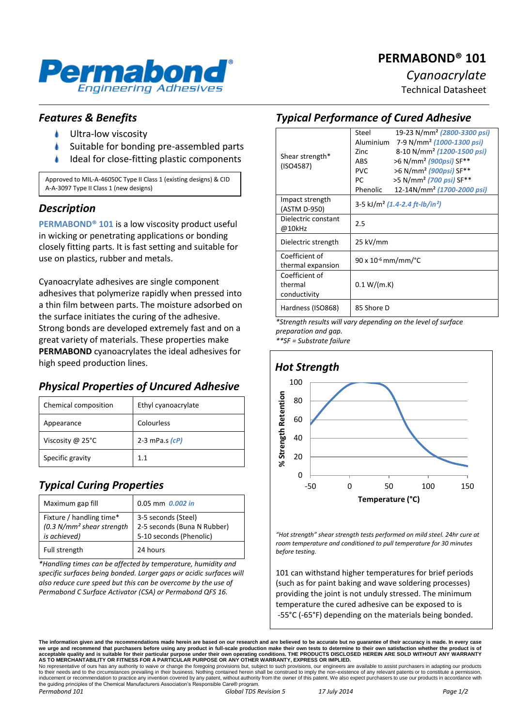# **PERMABOND® 101**



*Cyanoacrylate*

Technical Datasheet

## *Features & Benefits*

- Ultra-low viscosity
- Suitable for bonding pre-assembled parts
- Ideal for close-fitting plastic components

Approved to MIL-A-46050C Type II Class 1 (existing designs) & CID A-A-3097 Type II Class 1 (new designs)

#### *Description*

**PERMABOND® 101** is a low viscosity product useful in wicking or penetrating applications or bonding closely fitting parts. It is fast setting and suitable for use on plastics, rubber and metals.

Cyanoacrylate adhesives are single component adhesives that polymerize rapidly when pressed into a thin film between parts. The moisture adsorbed on the surface initiates the curing of the adhesive. Strong bonds are developed extremely fast and on a great variety of materials. These properties make **PERMABOND** cyanoacrylates the ideal adhesives for high speed production lines.

## *Physical Properties of Uncured Adhesive*

| Chemical composition | Ethyl cyanoacrylate |
|----------------------|---------------------|
| Appearance           | Colourless          |
| Viscosity @ 25°C     | 2-3 mPa.s $(cP)$    |
| Specific gravity     | 11                  |

## *Typical Curing Properties*

| Maximum gap fill                                                                   | $0.05$ mm $0.002$ in                                                          |
|------------------------------------------------------------------------------------|-------------------------------------------------------------------------------|
| Fixture / handling time*<br>(0.3 N/mm <sup>2</sup> shear strength)<br>is achieved) | 3-5 seconds (Steel)<br>2-5 seconds (Buna N Rubber)<br>5-10 seconds (Phenolic) |
| Full strength                                                                      | 24 hours                                                                      |

*\*Handling times can be affected by temperature, humidity and specific surfaces being bonded. Larger gaps or acidic surfaces will also reduce cure speed but this can be overcome by the use of Permabond C Surface Activator (CSA) or Permabond QFS 16.*

### *Typical Performance of Cured Adhesive*

| Shear strength*<br>(ISO4587) | Steel                                                  | 19-23 N/mm <sup>2</sup> (2800-3300 psi) |
|------------------------------|--------------------------------------------------------|-----------------------------------------|
|                              | Aluminium                                              | 7-9 N/mm <sup>2</sup> (1000-1300 psi)   |
|                              | 7inc                                                   | 8-10 N/mm <sup>2</sup> (1200-1500 psi)  |
|                              | <b>ABS</b>                                             | >6 N/mm <sup>2</sup> (900psi) SF**      |
|                              | <b>PVC</b>                                             | >6 N/mm <sup>2</sup> (900psi) SF**      |
|                              | PC                                                     | >5 N/mm <sup>2</sup> (700 psi) SF**     |
|                              | Phenolic                                               | 12-14N/mm <sup>2</sup> (1700-2000 psi)  |
| Impact strength              | 3-5 kJ/m <sup>2</sup> (1.4-2.4 ft-lb/in <sup>2</sup> ) |                                         |
| (ASTM D-950)                 |                                                        |                                         |
| Dielectric constant          | 2.5                                                    |                                         |
| @10kHz                       |                                                        |                                         |
| Dielectric strength          | 25 kV/mm                                               |                                         |
|                              |                                                        |                                         |
| Coefficient of               | $90 \times 10^{-6}$ mm/mm/°C                           |                                         |
| thermal expansion            |                                                        |                                         |
| Coefficient of               |                                                        |                                         |
| thermal                      | 0.1 W/(m.K)                                            |                                         |
| conductivity                 |                                                        |                                         |
| Hardness (ISO868)            | 85 Shore D                                             |                                         |
|                              |                                                        |                                         |

*\*Strength results will vary depending on the level of surface preparation and gap.*

*\*\*SF = Substrate failure*



*"Hot strength" shear strength tests performed on mild steel. 24hr cure at room temperature and conditioned to pull temperature for 30 minutes before testing.*

101 can withstand higher temperatures for brief periods (such as for paint baking and wave soldering processes) providing the joint is not unduly stressed. The minimum temperature the cured adhesive can be exposed to is -55°C (-65°F) depending on the materials being bonded.

**The information given and the recommendations made herein are based on our research and are believed to be accurate but no guarantee of their accuracy is made. In every case**  we urge and recommend that purchasers before using any product in full-scale production make their own tests to determine to their own satisfaction whether the product is of<br>acceptable quality and is suitable for their par

to their needs and to the circumstances prevailing in their business. Nothing contained herein shall be construed to imply the non-existence of any relevant patents or to constitute a permission inducement or recommendation to practice any invention covered by any patent, without authority from the owner of this patent. We also expect purchasers to use our products in accordance with the guiding principles of the Chemical Manufacturers Association's Responsible Care® program. *Permabond 101 Global TDS Revision 5 17 July 2014 Page 1/2*